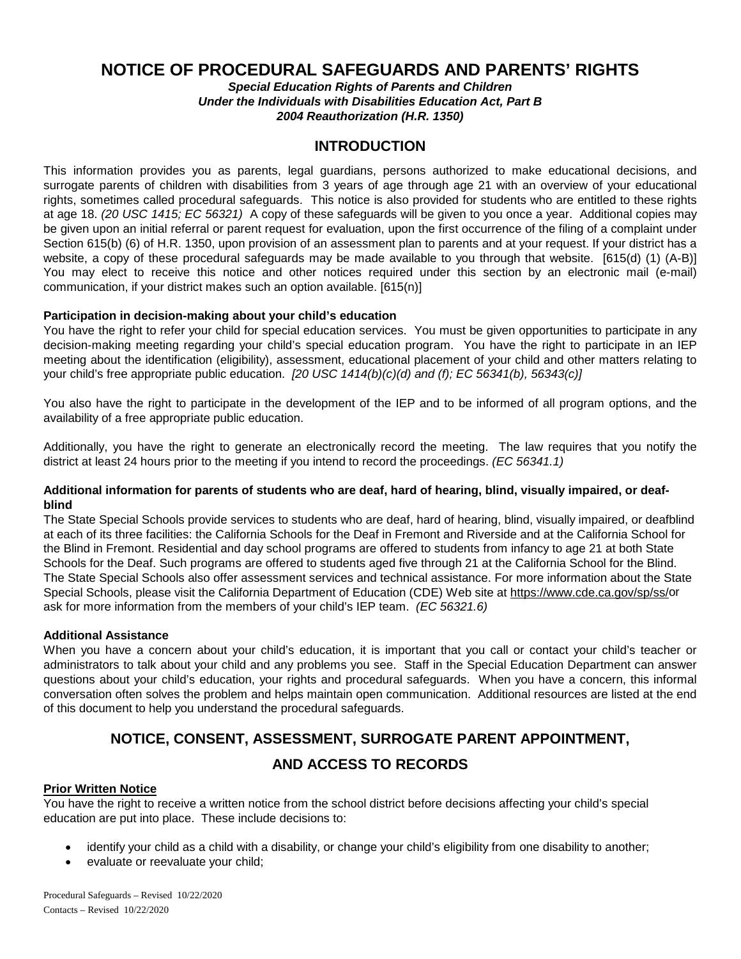# **NOTICE OF PROCEDURAL SAFEGUARDS AND PARENTS' RIGHTS**

*Special Education Rights of Parents and Children Under the Individuals with Disabilities Education Act, Part B 2004 Reauthorization (H.R. 1350)*

### **INTRODUCTION**

This information provides you as parents, legal guardians, persons authorized to make educational decisions, and surrogate parents of children with disabilities from 3 years of age through age 21 with an overview of your educational rights, sometimes called procedural safeguards. This notice is also provided for students who are entitled to these rights at age 18. *(20 USC 1415; EC 56321)* A copy of these safeguards will be given to you once a year. Additional copies may be given upon an initial referral or parent request for evaluation, upon the first occurrence of the filing of a complaint under Section 615(b) (6) of H.R. 1350, upon provision of an assessment plan to parents and at your request. If your district has a website, a copy of these procedural safeguards may be made available to you through that website. [615(d) (1) (A-B)] You may elect to receive this notice and other notices required under this section by an electronic mail (e-mail) communication, if your district makes such an option available. [615(n)]

### **Participation in decision-making about your child's education**

You have the right to refer your child for special education services. You must be given opportunities to participate in any decision-making meeting regarding your child's special education program. You have the right to participate in an IEP meeting about the identification (eligibility), assessment, educational placement of your child and other matters relating to your child's free appropriate public education. *[20 USC 1414(b)(c)(d) and (f); EC 56341(b), 56343(c)]*

You also have the right to participate in the development of the IEP and to be informed of all program options, and the availability of a free appropriate public education.

Additionally, you have the right to generate an electronically record the meeting. The law requires that you notify the district at least 24 hours prior to the meeting if you intend to record the proceedings. *(EC 56341.1)*

### **Additional information for parents of students who are deaf, hard of hearing, blind, visually impaired, or deafblind**

The State Special Schools provide services to students who are deaf, hard of hearing, blind, visually impaired, or deafblind at each of its three facilities: the California Schools for the Deaf in Fremont and Riverside and at the California School for the Blind in Fremont. Residential and day school programs are offered to students from infancy to age 21 at both State Schools for the Deaf. Such programs are offered to students aged five through 21 at the California School for the Blind. The State Special Schools also offer assessment services and technical assistance. For more information about the State Special Schools, please visit the California Department of Education (CDE) Web site at [https://www.cde.ca.gov/sp/ss/o](https://www.cde.ca.gov/sp/ss/)r ask for more information from the members of your child's IEP team. *(EC 56321.6)*

### **Additional Assistance**

When you have a concern about your child's education, it is important that you call or contact your child's teacher or administrators to talk about your child and any problems you see. Staff in the Special Education Department can answer questions about your child's education, your rights and procedural safeguards. When you have a concern, this informal conversation often solves the problem and helps maintain open communication. Additional resources are listed at the end of this document to help you understand the procedural safeguards.

# **NOTICE, CONSENT, ASSESSMENT, SURROGATE PARENT APPOINTMENT,**

### **AND ACCESS TO RECORDS**

### **Prior Written Notice**

You have the right to receive a written notice from the school district before decisions affecting your child's special education are put into place. These include decisions to:

- identify your child as a child with a disability, or change your child's eligibility from one disability to another;
- evaluate or reevaluate your child;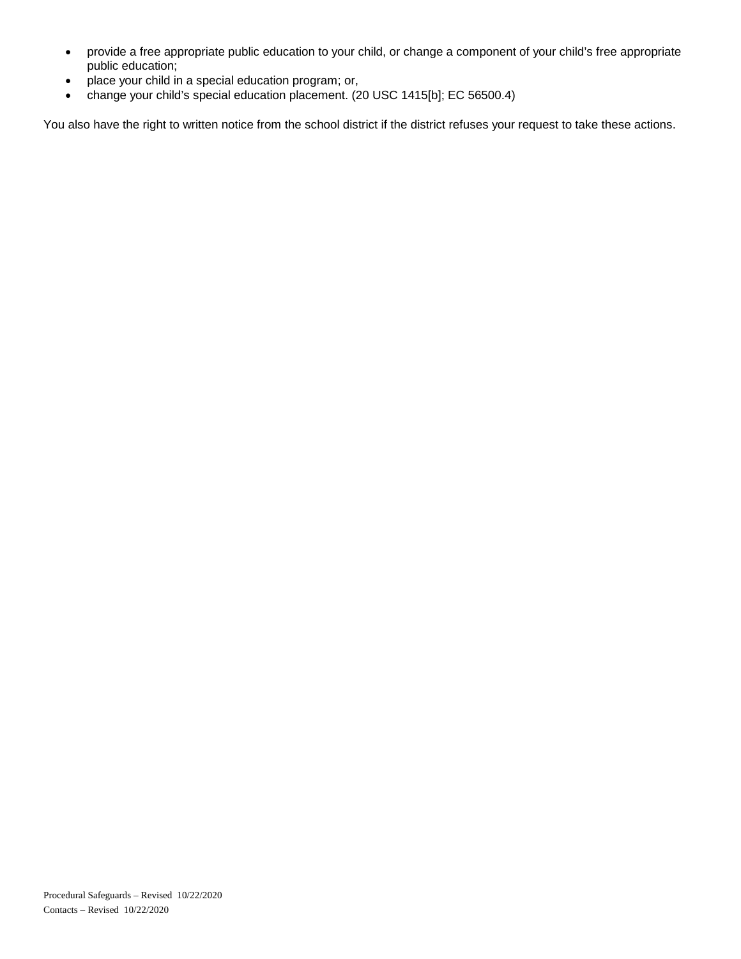- provide a free appropriate public education to your child, or change a component of your child's free appropriate public education;
- place your child in a special education program; or,
- change your child's special education placement. (20 USC 1415[b]; EC 56500.4)

You also have the right to written notice from the school district if the district refuses your request to take these actions.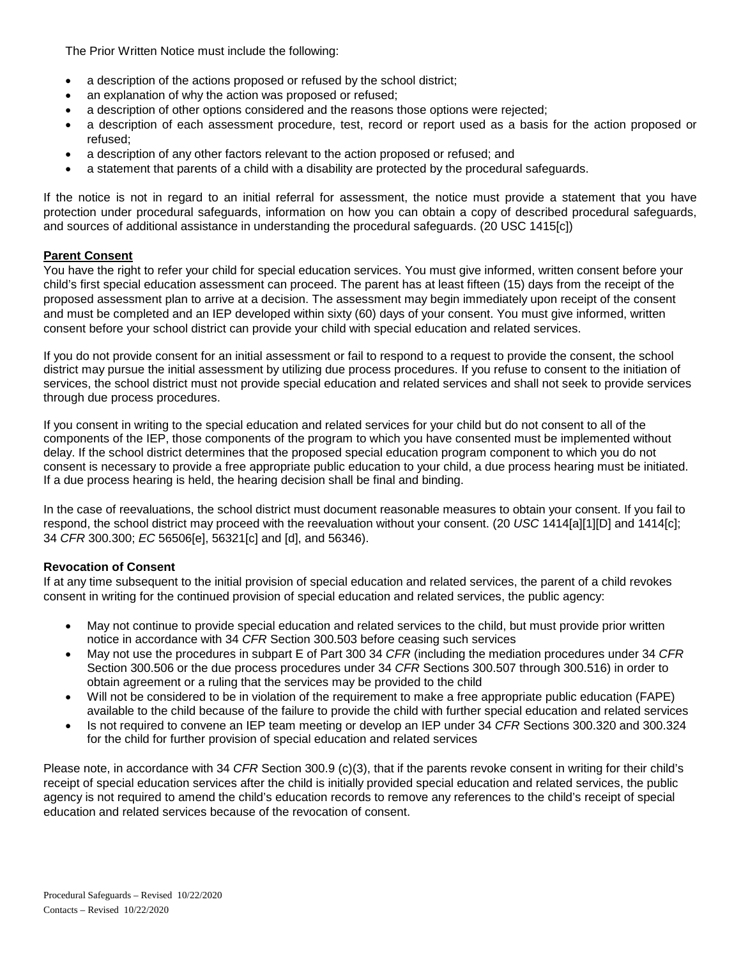The Prior Written Notice must include the following:

- a description of the actions proposed or refused by the school district;
- an explanation of why the action was proposed or refused;
- a description of other options considered and the reasons those options were rejected;
- a description of each assessment procedure, test, record or report used as a basis for the action proposed or refused;
- a description of any other factors relevant to the action proposed or refused; and
- a statement that parents of a child with a disability are protected by the procedural safeguards.

If the notice is not in regard to an initial referral for assessment, the notice must provide a statement that you have protection under procedural safeguards, information on how you can obtain a copy of described procedural safeguards, and sources of additional assistance in understanding the procedural safeguards. (20 USC 1415[c])

### **Parent Consent**

You have the right to refer your child for special education services. You must give informed, written consent before your child's first special education assessment can proceed. The parent has at least fifteen (15) days from the receipt of the proposed assessment plan to arrive at a decision. The assessment may begin immediately upon receipt of the consent and must be completed and an IEP developed within sixty (60) days of your consent. You must give informed, written consent before your school district can provide your child with special education and related services.

If you do not provide consent for an initial assessment or fail to respond to a request to provide the consent, the school district may pursue the initial assessment by utilizing due process procedures. If you refuse to consent to the initiation of services, the school district must not provide special education and related services and shall not seek to provide services through due process procedures.

If you consent in writing to the special education and related services for your child but do not consent to all of the components of the IEP, those components of the program to which you have consented must be implemented without delay. If the school district determines that the proposed special education program component to which you do not consent is necessary to provide a free appropriate public education to your child, a due process hearing must be initiated. If a due process hearing is held, the hearing decision shall be final and binding.

In the case of reevaluations, the school district must document reasonable measures to obtain your consent. If you fail to respond, the school district may proceed with the reevaluation without your consent. (20 *USC* 1414[a][1][D] and 1414[c]; 34 *CFR* 300.300; *EC* 56506[e], 56321[c] and [d], and 56346).

### **Revocation of Consent**

If at any time subsequent to the initial provision of special education and related services, the parent of a child revokes consent in writing for the continued provision of special education and related services, the public agency:

- May not continue to provide special education and related services to the child, but must provide prior written notice in accordance with 34 *CFR* Section 300.503 before ceasing such services
- May not use the procedures in subpart E of Part 300 34 *CFR* (including the mediation procedures under 34 *CFR* Section 300.506 or the due process procedures under 34 *CFR* Sections 300.507 through 300.516) in order to obtain agreement or a ruling that the services may be provided to the child
- Will not be considered to be in violation of the requirement to make a free appropriate public education (FAPE) available to the child because of the failure to provide the child with further special education and related services
- Is not required to convene an IEP team meeting or develop an IEP under 34 *CFR* Sections 300.320 and 300.324 for the child for further provision of special education and related services

Please note, in accordance with 34 *CFR* Section 300.9 (c)(3), that if the parents revoke consent in writing for their child's receipt of special education services after the child is initially provided special education and related services, the public agency is not required to amend the child's education records to remove any references to the child's receipt of special education and related services because of the revocation of consent.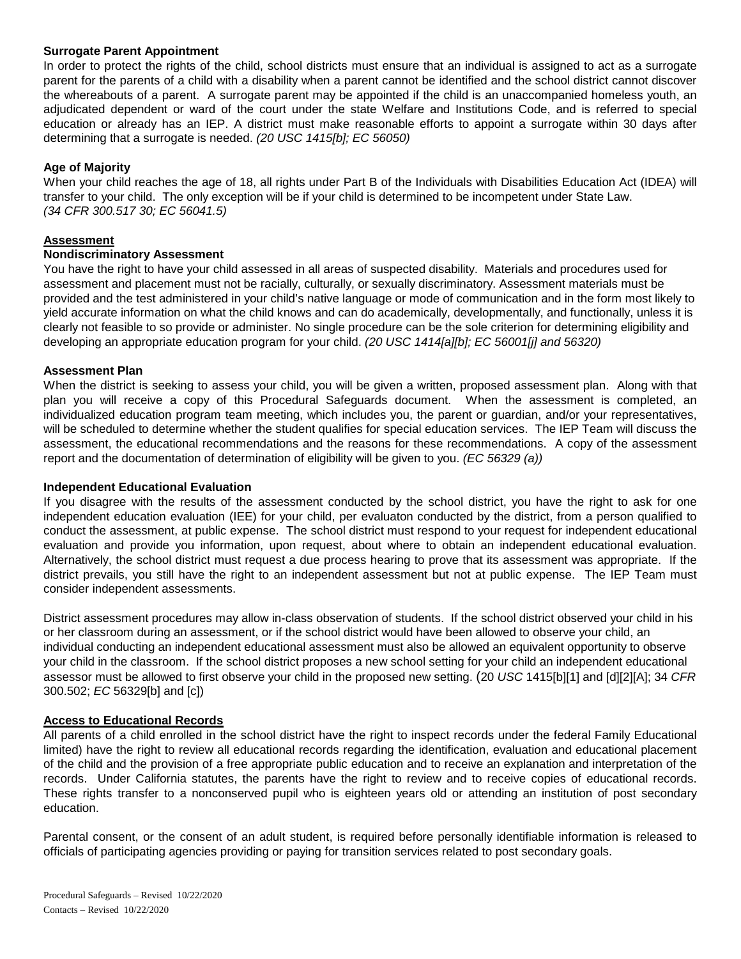### **Surrogate Parent Appointment**

In order to protect the rights of the child, school districts must ensure that an individual is assigned to act as a surrogate parent for the parents of a child with a disability when a parent cannot be identified and the school district cannot discover the whereabouts of a parent. A surrogate parent may be appointed if the child is an unaccompanied homeless youth, an adjudicated dependent or ward of the court under the state Welfare and Institutions Code, and is referred to special education or already has an IEP. A district must make reasonable efforts to appoint a surrogate within 30 days after determining that a surrogate is needed. *(20 USC 1415[b]; EC 56050)*

### **Age of Majority**

When your child reaches the age of 18, all rights under Part B of the Individuals with Disabilities Education Act (IDEA) will transfer to your child. The only exception will be if your child is determined to be incompetent under State Law. *(34 CFR 300.517 30; EC 56041.5)* 

### **Assessment**

### **Nondiscriminatory Assessment**

You have the right to have your child assessed in all areas of suspected disability. Materials and procedures used for assessment and placement must not be racially, culturally, or sexually discriminatory. Assessment materials must be provided and the test administered in your child's native language or mode of communication and in the form most likely to yield accurate information on what the child knows and can do academically, developmentally, and functionally, unless it is clearly not feasible to so provide or administer. No single procedure can be the sole criterion for determining eligibility and developing an appropriate education program for your child. *(20 USC 1414[a][b]; EC 56001[j] and 56320)*

### **Assessment Plan**

When the district is seeking to assess your child, you will be given a written, proposed assessment plan. Along with that plan you will receive a copy of this Procedural Safeguards document. When the assessment is completed, an individualized education program team meeting, which includes you, the parent or guardian, and/or your representatives, will be scheduled to determine whether the student qualifies for special education services. The IEP Team will discuss the assessment, the educational recommendations and the reasons for these recommendations. A copy of the assessment report and the documentation of determination of eligibility will be given to you. *(EC 56329 (a))*

### **Independent Educational Evaluation**

If you disagree with the results of the assessment conducted by the school district, you have the right to ask for one independent education evaluation (IEE) for your child, per evaluaton conducted by the district, from a person qualified to conduct the assessment, at public expense. The school district must respond to your request for independent educational evaluation and provide you information, upon request, about where to obtain an independent educational evaluation. Alternatively, the school district must request a due process hearing to prove that its assessment was appropriate. If the district prevails, you still have the right to an independent assessment but not at public expense. The IEP Team must consider independent assessments.

District assessment procedures may allow in-class observation of students. If the school district observed your child in his or her classroom during an assessment, or if the school district would have been allowed to observe your child, an individual conducting an independent educational assessment must also be allowed an equivalent opportunity to observe your child in the classroom. If the school district proposes a new school setting for your child an independent educational assessor must be allowed to first observe your child in the proposed new setting. (20 *USC* 1415[b][1] and [d][2][A]; 34 *CFR* 300.502; *EC* 56329[b] and [c])

### **Access to Educational Records**

All parents of a child enrolled in the school district have the right to inspect records under the federal Family Educational limited) have the right to review all educational records regarding the identification, evaluation and educational placement of the child and the provision of a free appropriate public education and to receive an explanation and interpretation of the records. Under California statutes, the parents have the right to review and to receive copies of educational records. These rights transfer to a nonconserved pupil who is eighteen years old or attending an institution of post secondary education.

Parental consent, or the consent of an adult student, is required before personally identifiable information is released to officials of participating agencies providing or paying for transition services related to post secondary goals.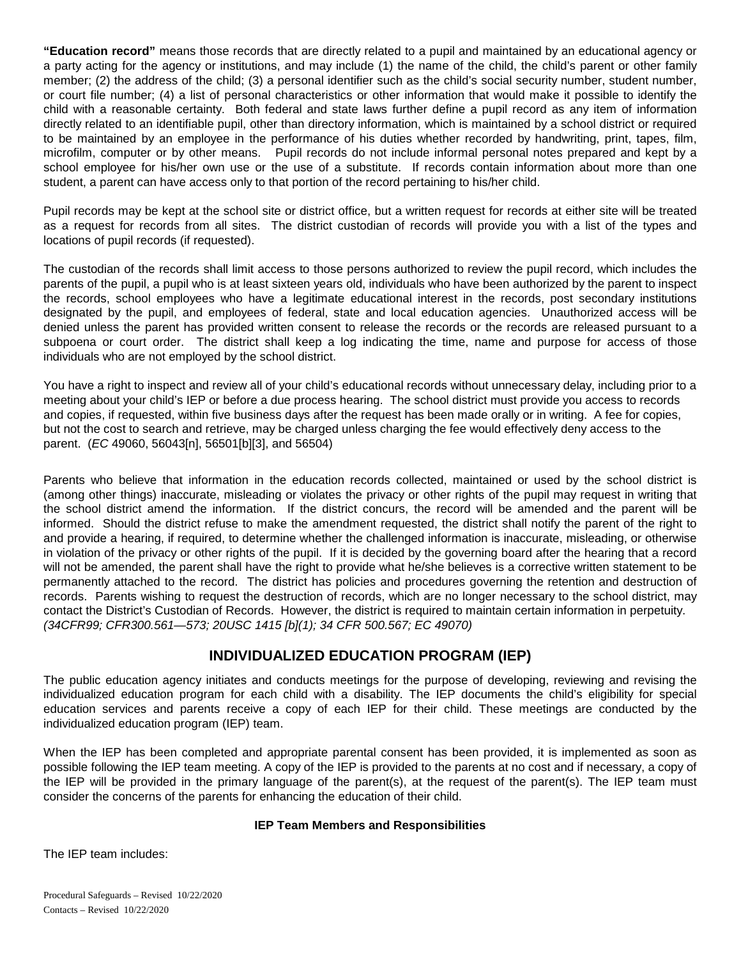**"Education record"** means those records that are directly related to a pupil and maintained by an educational agency or a party acting for the agency or institutions, and may include (1) the name of the child, the child's parent or other family member; (2) the address of the child; (3) a personal identifier such as the child's social security number, student number, or court file number; (4) a list of personal characteristics or other information that would make it possible to identify the child with a reasonable certainty. Both federal and state laws further define a pupil record as any item of information directly related to an identifiable pupil, other than directory information, which is maintained by a school district or required to be maintained by an employee in the performance of his duties whether recorded by handwriting, print, tapes, film, microfilm, computer or by other means. Pupil records do not include informal personal notes prepared and kept by a school employee for his/her own use or the use of a substitute. If records contain information about more than one student, a parent can have access only to that portion of the record pertaining to his/her child.

Pupil records may be kept at the school site or district office, but a written request for records at either site will be treated as a request for records from all sites. The district custodian of records will provide you with a list of the types and locations of pupil records (if requested).

The custodian of the records shall limit access to those persons authorized to review the pupil record, which includes the parents of the pupil, a pupil who is at least sixteen years old, individuals who have been authorized by the parent to inspect the records, school employees who have a legitimate educational interest in the records, post secondary institutions designated by the pupil, and employees of federal, state and local education agencies. Unauthorized access will be denied unless the parent has provided written consent to release the records or the records are released pursuant to a subpoena or court order. The district shall keep a log indicating the time, name and purpose for access of those individuals who are not employed by the school district.

You have a right to inspect and review all of your child's educational records without unnecessary delay, including prior to a meeting about your child's IEP or before a due process hearing. The school district must provide you access to records and copies, if requested, within five business days after the request has been made orally or in writing. A fee for copies, but not the cost to search and retrieve, may be charged unless charging the fee would effectively deny access to the parent. (*EC* 49060, 56043[n], 56501[b][3], and 56504)

Parents who believe that information in the education records collected, maintained or used by the school district is (among other things) inaccurate, misleading or violates the privacy or other rights of the pupil may request in writing that the school district amend the information. If the district concurs, the record will be amended and the parent will be informed. Should the district refuse to make the amendment requested, the district shall notify the parent of the right to and provide a hearing, if required, to determine whether the challenged information is inaccurate, misleading, or otherwise in violation of the privacy or other rights of the pupil. If it is decided by the governing board after the hearing that a record will not be amended, the parent shall have the right to provide what he/she believes is a corrective written statement to be permanently attached to the record. The district has policies and procedures governing the retention and destruction of records. Parents wishing to request the destruction of records, which are no longer necessary to the school district, may contact the District's Custodian of Records. However, the district is required to maintain certain information in perpetuity. *(34CFR99; CFR300.561—573; 20USC 1415 [b](1); 34 CFR 500.567; EC 49070)*

# **INDIVIDUALIZED EDUCATION PROGRAM (IEP)**

The public education agency initiates and conducts meetings for the purpose of developing, reviewing and revising the individualized education program for each child with a disability. The IEP documents the child's eligibility for special education services and parents receive a copy of each IEP for their child. These meetings are conducted by the individualized education program (IEP) team.

When the IEP has been completed and appropriate parental consent has been provided, it is implemented as soon as possible following the IEP team meeting. A copy of the IEP is provided to the parents at no cost and if necessary, a copy of the IEP will be provided in the primary language of the parent(s), at the request of the parent(s). The IEP team must consider the concerns of the parents for enhancing the education of their child.

### **IEP Team Members and Responsibilities**

The IEP team includes: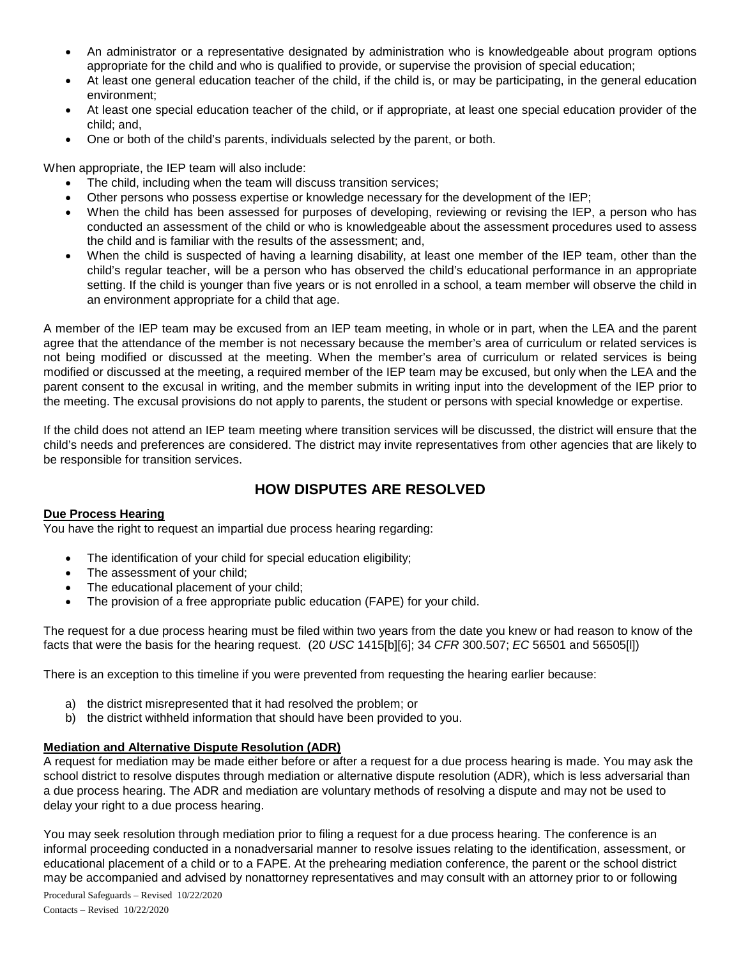- An administrator or a representative designated by administration who is knowledgeable about program options appropriate for the child and who is qualified to provide, or supervise the provision of special education;
- At least one general education teacher of the child, if the child is, or may be participating, in the general education environment;
- At least one special education teacher of the child, or if appropriate, at least one special education provider of the child; and,
- One or both of the child's parents, individuals selected by the parent, or both.

When appropriate, the IEP team will also include:

- The child, including when the team will discuss transition services;
- Other persons who possess expertise or knowledge necessary for the development of the IEP;
- When the child has been assessed for purposes of developing, reviewing or revising the IEP, a person who has conducted an assessment of the child or who is knowledgeable about the assessment procedures used to assess the child and is familiar with the results of the assessment; and,
- When the child is suspected of having a learning disability, at least one member of the IEP team, other than the child's regular teacher, will be a person who has observed the child's educational performance in an appropriate setting. If the child is younger than five years or is not enrolled in a school, a team member will observe the child in an environment appropriate for a child that age.

A member of the IEP team may be excused from an IEP team meeting, in whole or in part, when the LEA and the parent agree that the attendance of the member is not necessary because the member's area of curriculum or related services is not being modified or discussed at the meeting. When the member's area of curriculum or related services is being modified or discussed at the meeting, a required member of the IEP team may be excused, but only when the LEA and the parent consent to the excusal in writing, and the member submits in writing input into the development of the IEP prior to the meeting. The excusal provisions do not apply to parents, the student or persons with special knowledge or expertise.

If the child does not attend an IEP team meeting where transition services will be discussed, the district will ensure that the child's needs and preferences are considered. The district may invite representatives from other agencies that are likely to be responsible for transition services.

### **HOW DISPUTES ARE RESOLVED**

### **Due Process Hearing**

You have the right to request an impartial due process hearing regarding:

- The identification of your child for special education eligibility;
- The assessment of your child;
- The educational placement of your child;
- The provision of a free appropriate public education (FAPE) for your child.

The request for a due process hearing must be filed within two years from the date you knew or had reason to know of the facts that were the basis for the hearing request. (20 *USC* 1415[b][6]; 34 *CFR* 300.507; *EC* 56501 and 56505[l])

There is an exception to this timeline if you were prevented from requesting the hearing earlier because:

- a) the district misrepresented that it had resolved the problem; or
- b) the district withheld information that should have been provided to you.

### **Mediation and Alternative Dispute Resolution (ADR)**

A request for mediation may be made either before or after a request for a due process hearing is made. You may ask the school district to resolve disputes through mediation or alternative dispute resolution (ADR), which is less adversarial than a due process hearing. The ADR and mediation are voluntary methods of resolving a dispute and may not be used to delay your right to a due process hearing.

You may seek resolution through mediation prior to filing a request for a due process hearing. The conference is an informal proceeding conducted in a nonadversarial manner to resolve issues relating to the identification, assessment, or educational placement of a child or to a FAPE. At the prehearing mediation conference, the parent or the school district may be accompanied and advised by nonattorney representatives and may consult with an attorney prior to or following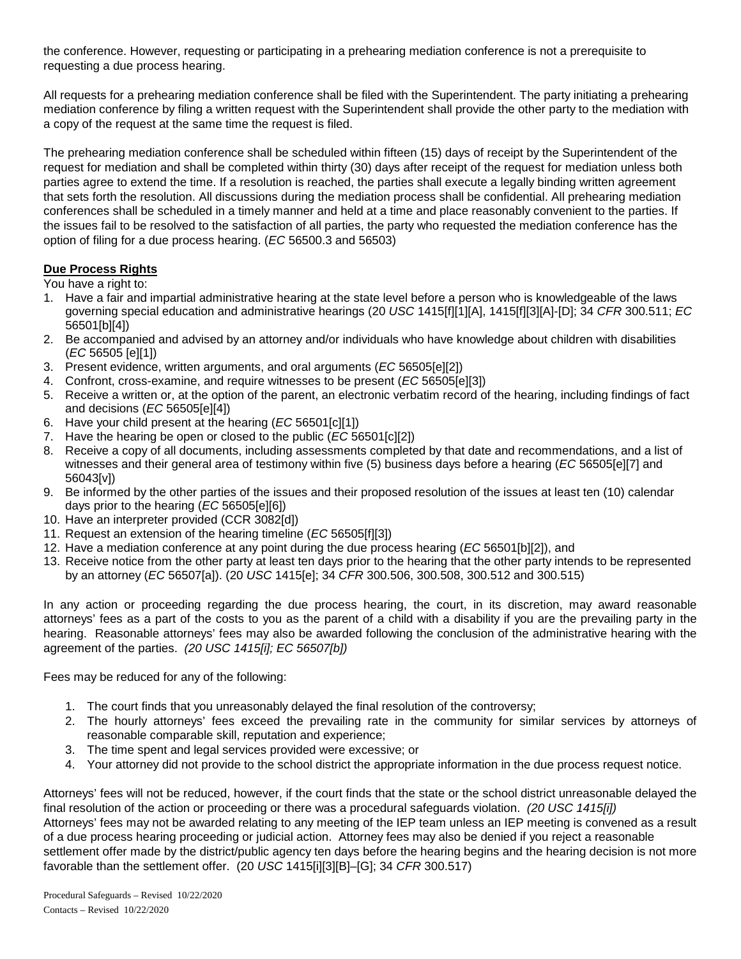the conference. However, requesting or participating in a prehearing mediation conference is not a prerequisite to requesting a due process hearing.

All requests for a prehearing mediation conference shall be filed with the Superintendent. The party initiating a prehearing mediation conference by filing a written request with the Superintendent shall provide the other party to the mediation with a copy of the request at the same time the request is filed.

The prehearing mediation conference shall be scheduled within fifteen (15) days of receipt by the Superintendent of the request for mediation and shall be completed within thirty (30) days after receipt of the request for mediation unless both parties agree to extend the time. If a resolution is reached, the parties shall execute a legally binding written agreement that sets forth the resolution. All discussions during the mediation process shall be confidential. All prehearing mediation conferences shall be scheduled in a timely manner and held at a time and place reasonably convenient to the parties. If the issues fail to be resolved to the satisfaction of all parties, the party who requested the mediation conference has the option of filing for a due process hearing. (*EC* 56500.3 and 56503)

### **Due Process Rights**

You have a right to:

- 1. Have a fair and impartial administrative hearing at the state level before a person who is knowledgeable of the laws governing special education and administrative hearings (20 *USC* 1415[f][1][A], 1415[f][3][A]-[D]; 34 *CFR* 300.511; *EC* 56501[b][4])
- 2. Be accompanied and advised by an attorney and/or individuals who have knowledge about children with disabilities (*EC* 56505 [e][1])
- 3. Present evidence, written arguments, and oral arguments (*EC* 56505[e][2])
- 4. Confront, cross-examine, and require witnesses to be present (*EC* 56505[e][3])
- 5. Receive a written or, at the option of the parent, an electronic verbatim record of the hearing, including findings of fact and decisions (*EC* 56505[e][4])
- 6. Have your child present at the hearing (*EC* 56501[c][1])
- 7. Have the hearing be open or closed to the public (*EC* 56501[c][2])
- 8. Receive a copy of all documents, including assessments completed by that date and recommendations, and a list of witnesses and their general area of testimony within five (5) business days before a hearing (*EC* 56505[e][7] and 56043[v])
- 9. Be informed by the other parties of the issues and their proposed resolution of the issues at least ten (10) calendar days prior to the hearing (*EC* 56505[e][6])
- 10. Have an interpreter provided (CCR 3082[d])
- 11. Request an extension of the hearing timeline (*EC* 56505[f][3])
- 12. Have a mediation conference at any point during the due process hearing (*EC* 56501[b][2]), and
- 13. Receive notice from the other party at least ten days prior to the hearing that the other party intends to be represented by an attorney (*EC* 56507[a]). (20 *USC* 1415[e]; 34 *CFR* 300.506, 300.508, 300.512 and 300.515)

In any action or proceeding regarding the due process hearing, the court, in its discretion, may award reasonable attorneys' fees as a part of the costs to you as the parent of a child with a disability if you are the prevailing party in the hearing. Reasonable attorneys' fees may also be awarded following the conclusion of the administrative hearing with the agreement of the parties. *(20 USC 1415[i]; EC 56507[b])*

Fees may be reduced for any of the following:

- 1. The court finds that you unreasonably delayed the final resolution of the controversy;
- 2. The hourly attorneys' fees exceed the prevailing rate in the community for similar services by attorneys of reasonable comparable skill, reputation and experience;
- 3. The time spent and legal services provided were excessive; or
- 4. Your attorney did not provide to the school district the appropriate information in the due process request notice.

Attorneys' fees will not be reduced, however, if the court finds that the state or the school district unreasonable delayed the final resolution of the action or proceeding or there was a procedural safeguards violation. *(20 USC 1415[i])* Attorneys' fees may not be awarded relating to any meeting of the IEP team unless an IEP meeting is convened as a result of a due process hearing proceeding or judicial action. Attorney fees may also be denied if you reject a reasonable settlement offer made by the district/public agency ten days before the hearing begins and the hearing decision is not more favorable than the settlement offer. (20 *USC* 1415[i][3][B]–[G]; 34 *CFR* 300.517)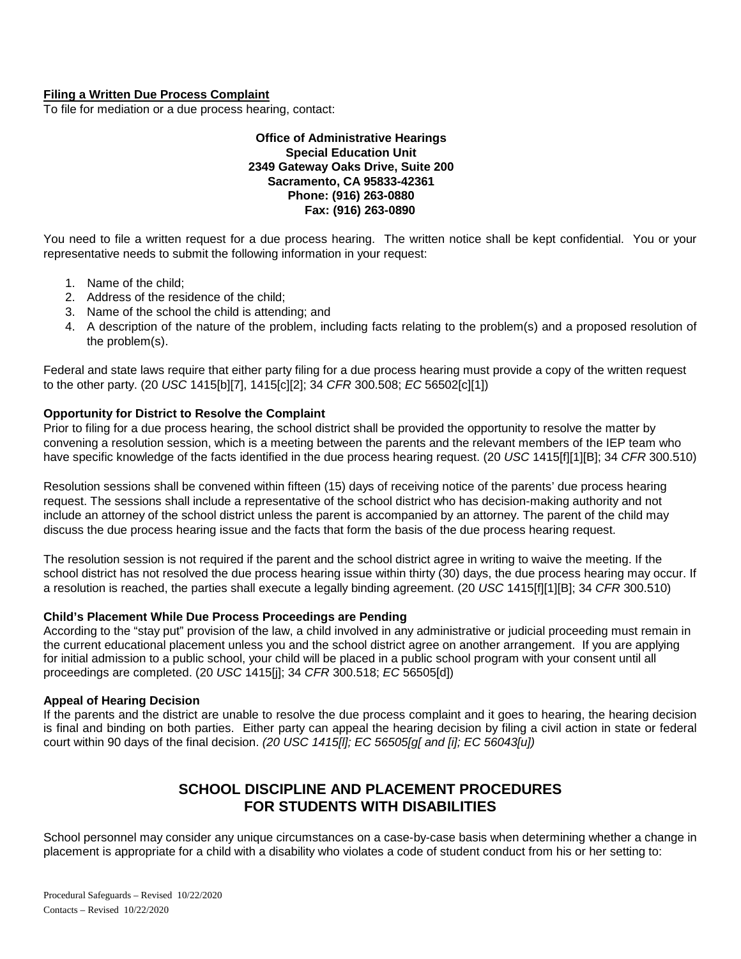### **Filing a Written Due Process Complaint**

To file for mediation or a due process hearing, contact:

### **Office of Administrative Hearings Special Education Unit 2349 Gateway Oaks Drive, Suite 200 Sacramento, CA 95833-42361 Phone: (916) 263-0880 Fax: (916) 263-0890**

You need to file a written request for a due process hearing. The written notice shall be kept confidential. You or your representative needs to submit the following information in your request:

- 1. Name of the child;
- 2. Address of the residence of the child;
- 3. Name of the school the child is attending; and
- 4. A description of the nature of the problem, including facts relating to the problem(s) and a proposed resolution of the problem(s).

Federal and state laws require that either party filing for a due process hearing must provide a copy of the written request to the other party. (20 *USC* 1415[b][7], 1415[c][2]; 34 *CFR* 300.508; *EC* 56502[c][1])

### **Opportunity for District to Resolve the Complaint**

Prior to filing for a due process hearing, the school district shall be provided the opportunity to resolve the matter by convening a resolution session, which is a meeting between the parents and the relevant members of the IEP team who have specific knowledge of the facts identified in the due process hearing request. (20 *USC* 1415[f][1][B]; 34 *CFR* 300.510)

Resolution sessions shall be convened within fifteen (15) days of receiving notice of the parents' due process hearing request. The sessions shall include a representative of the school district who has decision-making authority and not include an attorney of the school district unless the parent is accompanied by an attorney. The parent of the child may discuss the due process hearing issue and the facts that form the basis of the due process hearing request.

The resolution session is not required if the parent and the school district agree in writing to waive the meeting. If the school district has not resolved the due process hearing issue within thirty (30) days, the due process hearing may occur. If a resolution is reached, the parties shall execute a legally binding agreement. (20 *USC* 1415[f][1][B]; 34 *CFR* 300.510)

### **Child's Placement While Due Process Proceedings are Pending**

According to the "stay put" provision of the law, a child involved in any administrative or judicial proceeding must remain in the current educational placement unless you and the school district agree on another arrangement. If you are applying for initial admission to a public school, your child will be placed in a public school program with your consent until all proceedings are completed. (20 *USC* 1415[j]; 34 *CFR* 300.518; *EC* 56505[d])

### **Appeal of Hearing Decision**

If the parents and the district are unable to resolve the due process complaint and it goes to hearing, the hearing decision is final and binding on both parties. Either party can appeal the hearing decision by filing a civil action in state or federal court within 90 days of the final decision. *(20 USC 1415[l]; EC 56505[g[ and [i]; EC 56043[u])*

# **SCHOOL DISCIPLINE AND PLACEMENT PROCEDURES FOR STUDENTS WITH DISABILITIES**

School personnel may consider any unique circumstances on a case-by-case basis when determining whether a change in placement is appropriate for a child with a disability who violates a code of student conduct from his or her setting to: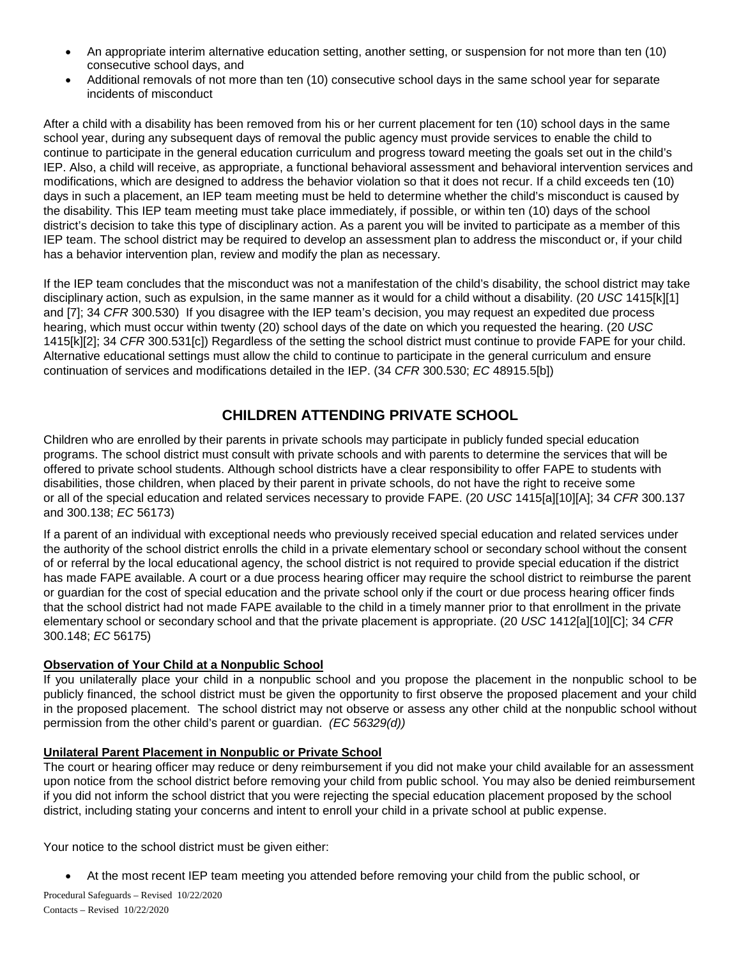- An appropriate interim alternative education setting, another setting, or suspension for not more than ten (10) consecutive school days, and
- Additional removals of not more than ten (10) consecutive school days in the same school year for separate incidents of misconduct

After a child with a disability has been removed from his or her current placement for ten (10) school days in the same school year, during any subsequent days of removal the public agency must provide services to enable the child to continue to participate in the general education curriculum and progress toward meeting the goals set out in the child's IEP. Also, a child will receive, as appropriate, a functional behavioral assessment and behavioral intervention services and modifications, which are designed to address the behavior violation so that it does not recur. If a child exceeds ten (10) days in such a placement, an IEP team meeting must be held to determine whether the child's misconduct is caused by the disability. This IEP team meeting must take place immediately, if possible, or within ten (10) days of the school district's decision to take this type of disciplinary action. As a parent you will be invited to participate as a member of this IEP team. The school district may be required to develop an assessment plan to address the misconduct or, if your child has a behavior intervention plan, review and modify the plan as necessary.

If the IEP team concludes that the misconduct was not a manifestation of the child's disability, the school district may take disciplinary action, such as expulsion, in the same manner as it would for a child without a disability. (20 *USC* 1415[k][1] and [7]; 34 *CFR* 300.530) If you disagree with the IEP team's decision, you may request an expedited due process hearing, which must occur within twenty (20) school days of the date on which you requested the hearing. (20 *USC* 1415[k][2]; 34 *CFR* 300.531[c]) Regardless of the setting the school district must continue to provide FAPE for your child. Alternative educational settings must allow the child to continue to participate in the general curriculum and ensure continuation of services and modifications detailed in the IEP. (34 *CFR* 300.530; *EC* 48915.5[b])

# **CHILDREN ATTENDING PRIVATE SCHOOL**

Children who are enrolled by their parents in private schools may participate in publicly funded special education programs. The school district must consult with private schools and with parents to determine the services that will be offered to private school students. Although school districts have a clear responsibility to offer FAPE to students with disabilities, those children, when placed by their parent in private schools, do not have the right to receive some or all of the special education and related services necessary to provide FAPE. (20 *USC* 1415[a][10][A]; 34 *CFR* 300.137 and 300.138; *EC* 56173)

If a parent of an individual with exceptional needs who previously received special education and related services under the authority of the school district enrolls the child in a private elementary school or secondary school without the consent of or referral by the local educational agency, the school district is not required to provide special education if the district has made FAPE available. A court or a due process hearing officer may require the school district to reimburse the parent or guardian for the cost of special education and the private school only if the court or due process hearing officer finds that the school district had not made FAPE available to the child in a timely manner prior to that enrollment in the private elementary school or secondary school and that the private placement is appropriate. (20 *USC* 1412[a][10][C]; 34 *CFR* 300.148; *EC* 56175)

### **Observation of Your Child at a Nonpublic School**

If you unilaterally place your child in a nonpublic school and you propose the placement in the nonpublic school to be publicly financed, the school district must be given the opportunity to first observe the proposed placement and your child in the proposed placement. The school district may not observe or assess any other child at the nonpublic school without permission from the other child's parent or guardian. *(EC 56329(d))*

### **Unilateral Parent Placement in Nonpublic or Private School**

The court or hearing officer may reduce or deny reimbursement if you did not make your child available for an assessment upon notice from the school district before removing your child from public school. You may also be denied reimbursement if you did not inform the school district that you were rejecting the special education placement proposed by the school district, including stating your concerns and intent to enroll your child in a private school at public expense.

Your notice to the school district must be given either:

• At the most recent IEP team meeting you attended before removing your child from the public school, or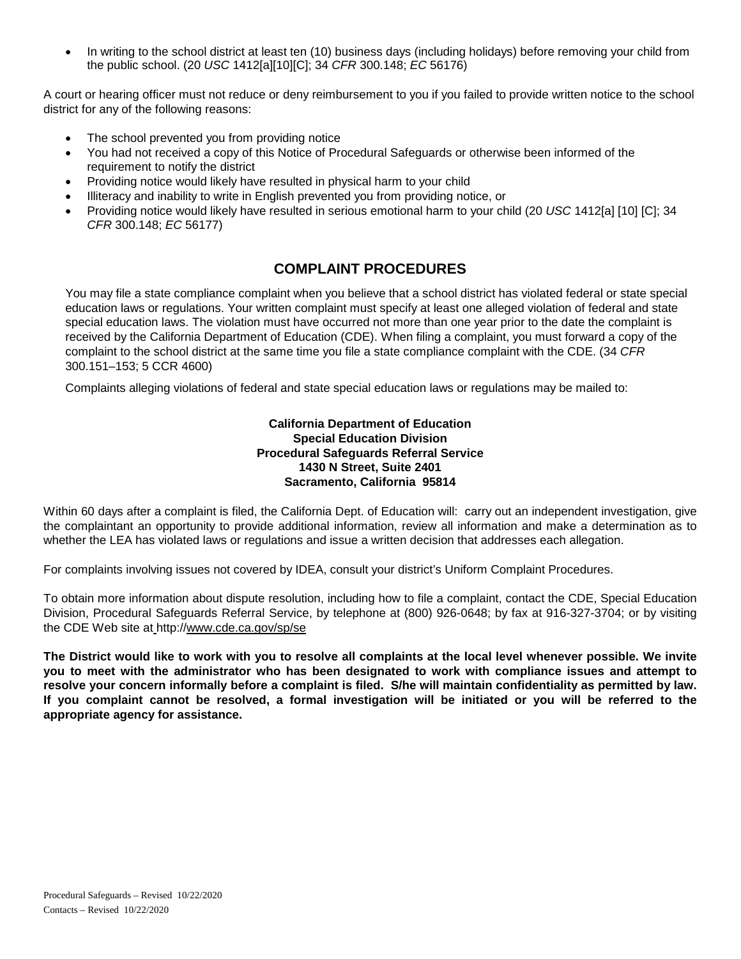• In writing to the school district at least ten (10) business days (including holidays) before removing your child from the public school. (20 *USC* 1412[a][10][C]; 34 *CFR* 300.148; *EC* 56176)

A court or hearing officer must not reduce or deny reimbursement to you if you failed to provide written notice to the school district for any of the following reasons:

- The school prevented you from providing notice
- You had not received a copy of this Notice of Procedural Safeguards or otherwise been informed of the requirement to notify the district
- Providing notice would likely have resulted in physical harm to your child
- Illiteracy and inability to write in English prevented you from providing notice, or
- Providing notice would likely have resulted in serious emotional harm to your child (20 *USC* 1412[a] [10] [C]; 34 *CFR* 300.148; *EC* 56177)

## **COMPLAINT PROCEDURES**

You may file a state compliance complaint when you believe that a school district has violated federal or state special education laws or regulations. Your written complaint must specify at least one alleged violation of federal and state special education laws. The violation must have occurred not more than one year prior to the date the complaint is received by the California Department of Education (CDE). When filing a complaint, you must forward a copy of the complaint to the school district at the same time you file a state compliance complaint with the CDE. (34 *CFR* 300.151–153; 5 CCR 4600)

Complaints alleging violations of federal and state special education laws or regulations may be mailed to:

### **California Department of Education Special Education Division Procedural Safeguards Referral Service 1430 N Street, Suite 2401 Sacramento, California 95814**

Within 60 days after a complaint is filed, the California Dept. of Education will: carry out an independent investigation, give the complaintant an opportunity to provide additional information, review all information and make a determination as to whether the LEA has violated laws or regulations and issue a written decision that addresses each allegation.

For complaints involving issues not covered by IDEA, consult your district's Uniform Complaint Procedures.

To obtain more information about dispute resolution, including how to file a complaint, contact the CDE, Special Education Division, Procedural Safeguards Referral Service, by telephone at (800) 926-0648; by fax at 916-327-3704; or by visiting the CDE Web site at http:/[/www.cde.ca.gov/sp/se](http://www.cde.ca.gov/sp/se)

**The District would like to work with you to resolve all complaints at the local level whenever possible. We invite you to meet with the administrator who has been designated to work with compliance issues and attempt to resolve your concern informally before a complaint is filed. S/he will maintain confidentiality as permitted by law. If you complaint cannot be resolved, a formal investigation will be initiated or you will be referred to the appropriate agency for assistance.**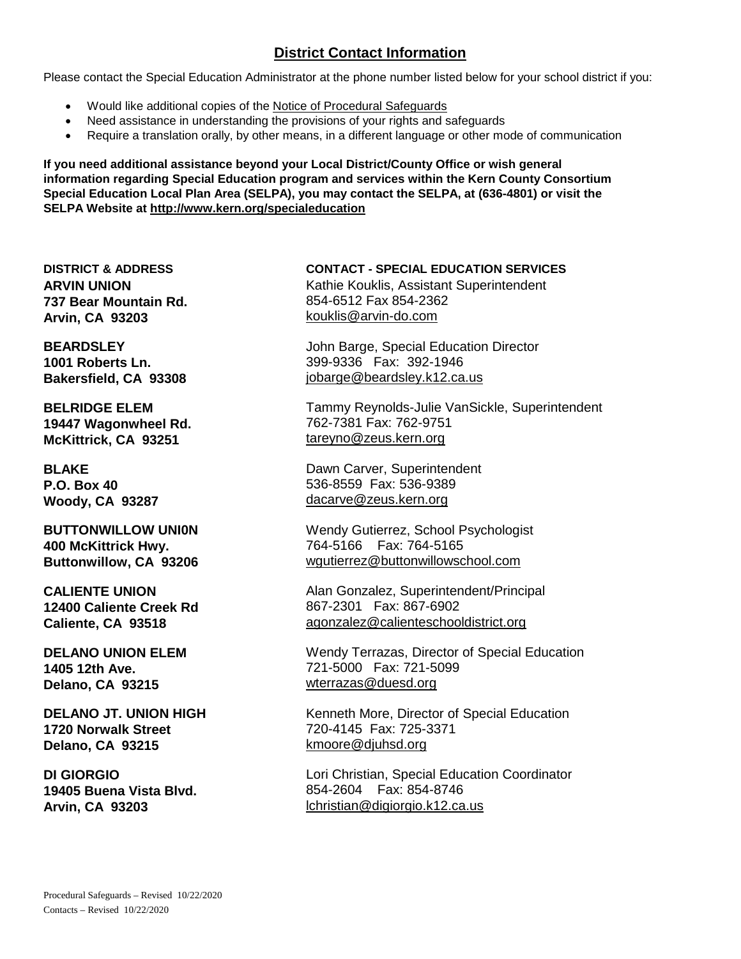# **District Contact Information**

Please contact the Special Education Administrator at the phone number listed below for your school district if you:

- Would like additional copies of the Notice of Procedural Safeguards
- Need assistance in understanding the provisions of your rights and safeguards
- Require a translation orally, by other means, in a different language or other mode of communication

**If you need additional assistance beyond your Local District/County Office or wish general information regarding Special Education program and services within the Kern County Consortium Special Education Local Plan Area (SELPA), you may contact the SELPA, at (636-4801) or visit the SELPA Website at<http://www.kern.org/specialeducation>**

**ARVIN UNION 737 Bear Mountain Rd. Arvin, CA 93203**

**BEARDSLEY 1001 Roberts Ln. Bakersfield, CA 93308**

**BELRIDGE ELEM 19447 Wagonwheel Rd. McKittrick, CA 93251**

**BLAKE P.O. Box 40 Woody, CA 93287**

**BUTTONWILLOW UNI0N 400 McKittrick Hwy. Buttonwillow, CA 93206**

**CALIENTE UNION 12400 Caliente Creek Rd Caliente, CA 93518** 

**DELANO UNION ELEM 1405 12th Ave. Delano, CA 93215**

**DELANO JT. UNION HIGH 1720 Norwalk Street Delano, CA 93215**

**DI GIORGIO 19405 Buena Vista Blvd. Arvin, CA 93203**

**DISTRICT & ADDRESS CONTACT - SPECIAL EDUCATION SERVICES** Kathie Kouklis, Assistant Superintendent 854-6512 Fax 854-2362 [kouklis@arvin-do.com](mailto:kouklis@arvin-do.com)

> John Barge, Special Education Director 399-9336 Fax: 392-1946 [jobarge@beardsley.k12.ca.us](mailto:jobarge@beardsley.k12.ca.us)

Tammy Reynolds-Julie VanSickle, Superintendent 762-7381 Fax: 762-9751 [tareyno@zeus.kern.org](mailto:tareyno@zeus.kern.org)

Dawn Carver, Superintendent 536-8559 Fax: 536-9389 dacarve@zeus.kern.org

Wendy Gutierrez, School Psychologist 764-5166 Fax: 764-5165 wgutierrez@buttonwillowschool.com

Alan Gonzalez, Superintendent/Principal 867-2301 Fax: 867-6902 agonzalez@calienteschooldistrict.org

Wendy Terrazas, Director of Special Education 721-5000 Fax: 721-5099 [wterrazas@duesd.org](mailto:wterrazas@duesd.org)

Kenneth More, Director of Special Education 720-4145 Fax: 725-3371 [kmoore@djuhsd.org](mailto:kmoore@djuhsd.org)

Lori Christian, Special Education Coordinator 854-2604 Fax: 854-8746 [lchristian@digiorgio.k12.ca.us](mailto:lchristian@digiorgio.k12.ca.us)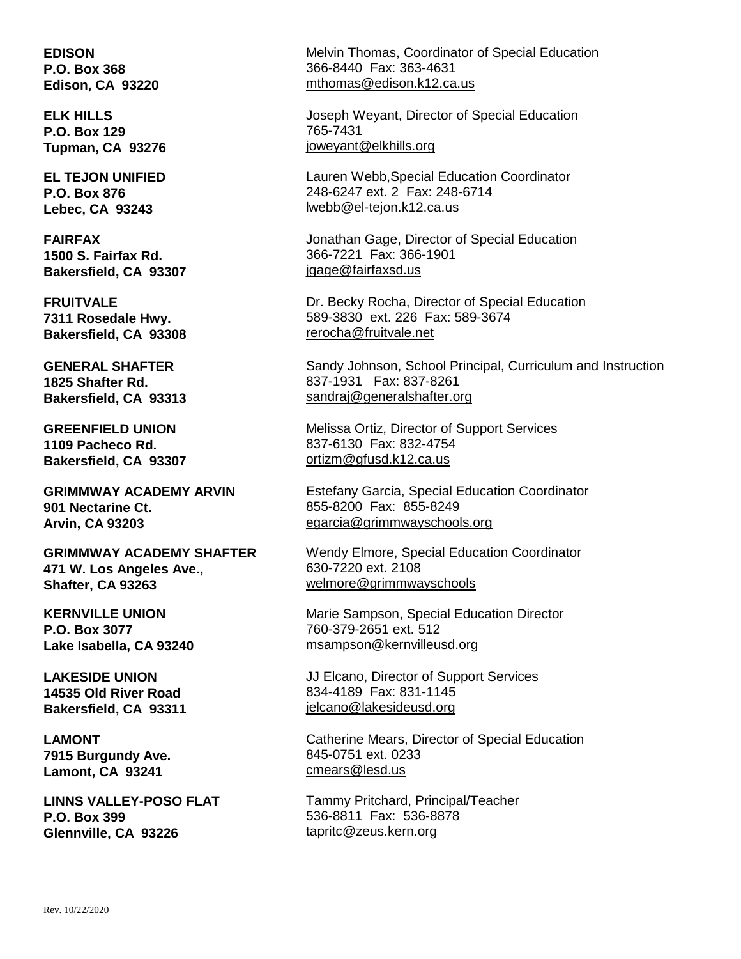**EDISON P.O. Box 368 Edison, CA 93220**

**ELK HILLS P.O. Box 129 Tupman, CA 93276**

**EL TEJON UNIFIED P.O. Box 876 Lebec, CA 93243**

**FAIRFAX 1500 S. Fairfax Rd. Bakersfield, CA 93307**

**FRUITVALE 7311 Rosedale Hwy. Bakersfield, CA 93308** 

**GENERAL SHAFTER 1825 Shafter Rd. Bakersfield, CA 93313**

**GREENFIELD UNION 1109 Pacheco Rd. Bakersfield, CA 93307**

**GRIMMWAY ACADEMY ARVIN 901 Nectarine Ct. Arvin, CA 93203**

**GRIMMWAY ACADEMY SHAFTER 471 W. Los Angeles Ave., Shafter, CA 93263**

**KERNVILLE UNION P.O. Box 3077 Lake Isabella, CA 93240**

**LAKESIDE UNION 14535 Old River Road Bakersfield, CA 93311** 

**LAMONT 7915 Burgundy Ave. Lamont, CA 93241**

**LINNS VALLEY-POSO FLAT P.O. Box 399 Glennville, CA 93226**

Melvin Thomas, Coordinator of Special Education 366-8440 Fax: 363-4631 [mthomas@edison.k12.ca.us](mailto:mthomas@edison.k12.ca.us)

Joseph Weyant, Director of Special Education 765-7431 joweyant@elkhills.org

Lauren Webb,Special Education Coordinator 248-6247 ext. 2 Fax: 248-6714 [lwebb@el-tejon.k12.ca.us](mailto:lwebb@el-tejon.k12.ca.us)

Jonathan Gage, Director of Special Education 366-7221 Fax: 366-1901 jgage@fairfaxsd.us

Dr. Becky Rocha, Director of Special Education 589-3830 ext. 226 Fax: 589-3674 [rerocha@fruitvale.net](mailto:jaclark@fruitvale.net)

Sandy Johnson, School Principal, Curriculum and Instruction 837-1931 Fax: 837-8261 [sandraj@generalshafter.org](mailto:sandraj@generalshafter.org)

Melissa Ortiz, Director of Support Services 837-6130 Fax: 832-4754 [ortizm@gfusd.k12.ca.us](mailto:ortizm@gfusd.k12.ca.us)

Estefany Garcia, Special Education Coordinator 855-8200 Fax: 855-8249 [egarcia@grimmwayschools.org](mailto:egarcia@grimmwayschools.org)

Wendy Elmore, Special Education Coordinator 630-7220 ext. 2108 [welmore@grimmwayschools](mailto:welmore@grimmwayschools)

Marie Sampson, Special Education Director 760-379-2651 ext. 512 msampson@kernvilleusd.org

JJ Elcano, Director of Support Services 834-4189 Fax: 831-1145 [jelcano@lakesideusd.org](mailto:jelcano@lakesideusd.org)

Catherine Mears, Director of Special Education 845-0751 ext. 0233 [cmears@lesd.us](mailto:cmears@lesd.us)

Tammy Pritchard, Principal/Teacher 536-8811 Fax: 536-8878 tapritc@zeus.kern.org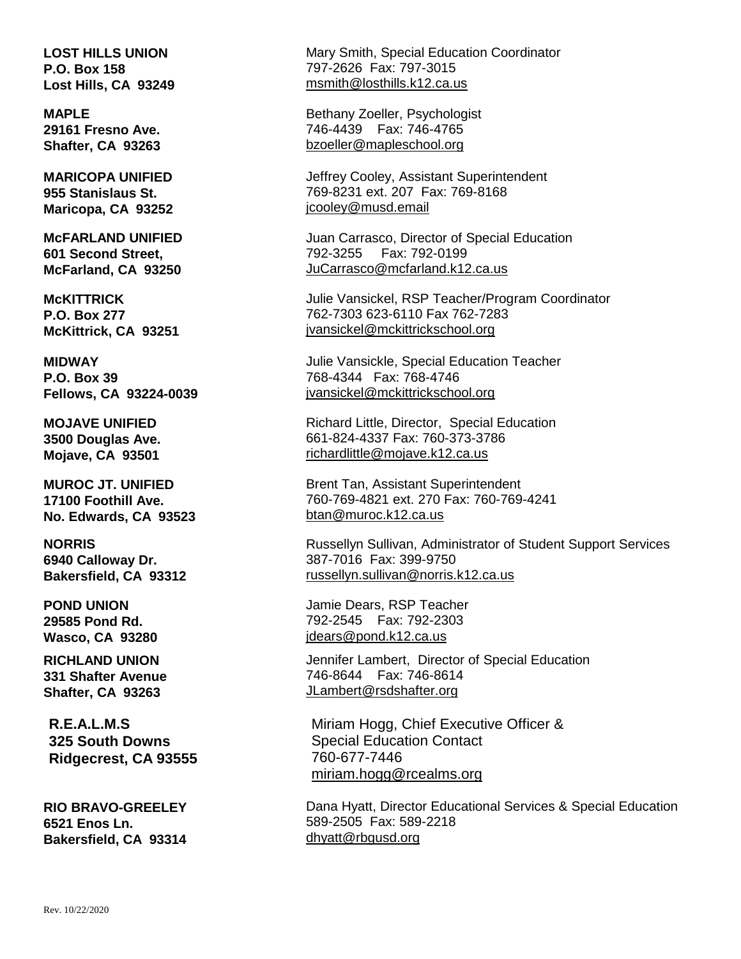**LOST HILLS UNION P.O. Box 158 Lost Hills, CA 93249**

**MAPLE 29161 Fresno Ave. Shafter, CA 93263**

**MARICOPA UNIFIED 955 Stanislaus St. Maricopa, CA 93252**

**McFARLAND UNIFIED 601 Second Street, McFarland, CA 93250** 

**McKITTRICK P.O. Box 277 McKittrick, CA 93251**

**MIDWAY P.O. Box 39 Fellows, CA 93224-0039**

**MOJAVE UNIFIED 3500 Douglas Ave. Mojave, CA 93501**

**MUROC JT. UNIFIED 17100 Foothill Ave. No. Edwards, CA 93523**

**NORRIS 6940 Calloway Dr. Bakersfield, CA 93312**

**POND UNION 29585 Pond Rd. Wasco, CA 93280**

**RICHLAND UNION 331 Shafter Avenue Shafter, CA 93263**

**R.E.A.L.M.S 325 South Downs Ridgecrest, CA 93555**

**RIO BRAVO-GREELEY 6521 Enos Ln. Bakersfield, CA 93314** Mary Smith, Special Education Coordinator 797-2626 Fax: 797-3015 msmith@losthills.k12.ca.us

Bethany Zoeller, Psychologist 746-4439 Fax: 746-4765 [bzoeller@mapleschool.org](mailto:bzoeller@mapleschool.org)

Jeffrey Cooley, Assistant Superintendent 769-8231 ext. 207 Fax: 769-8168 jcooley@musd.email

Juan Carrasco, Director of Special Education 792-3255 Fax: 792-0199 JuCarrasco@mcfarland.k12.ca.us

Julie Vansickel, RSP Teacher/Program Coordinator 762-7303 623-6110 Fax 762-7283 jvansickel@mckittrickschool.org

Julie Vansickle, Special Education Teacher 768-4344 Fax: 768-4746 jvansickel@mckittrickschool.org

Richard Little, Director, Special Education 661-824-4337 Fax: 760-373-3786 richardlittle@mojave.k12.ca.us

Brent Tan, Assistant Superintendent 760-769-4821 ext. 270 Fax: 760-769-4241 [btan@muroc.k12.ca.us](mailto:btan@muroc.k12.ca.us)

Russellyn Sullivan, Administrator of Student Support Services 387-7016 Fax: 399-9750 [russellyn.sullivan@norris.k12.ca.us](mailto:russellyn.sullivan@norris.k12.ca.us) 

Jamie Dears, RSP Teacher 792-2545 Fax: 792-2303 jdears@pond.k12.ca.us

Jennifer Lambert, Director of Special Education 746-8644 Fax: 746-8614 JLambert@rsdshafter.org

Miriam Hogg, Chief Executive Officer & Special Education Contact 760-677-7446 miriam.hogg@rcealms.org

Dana Hyatt, Director Educational Services & Special Education 589-2505 Fax: 589-2218 dhyatt@rbgusd.org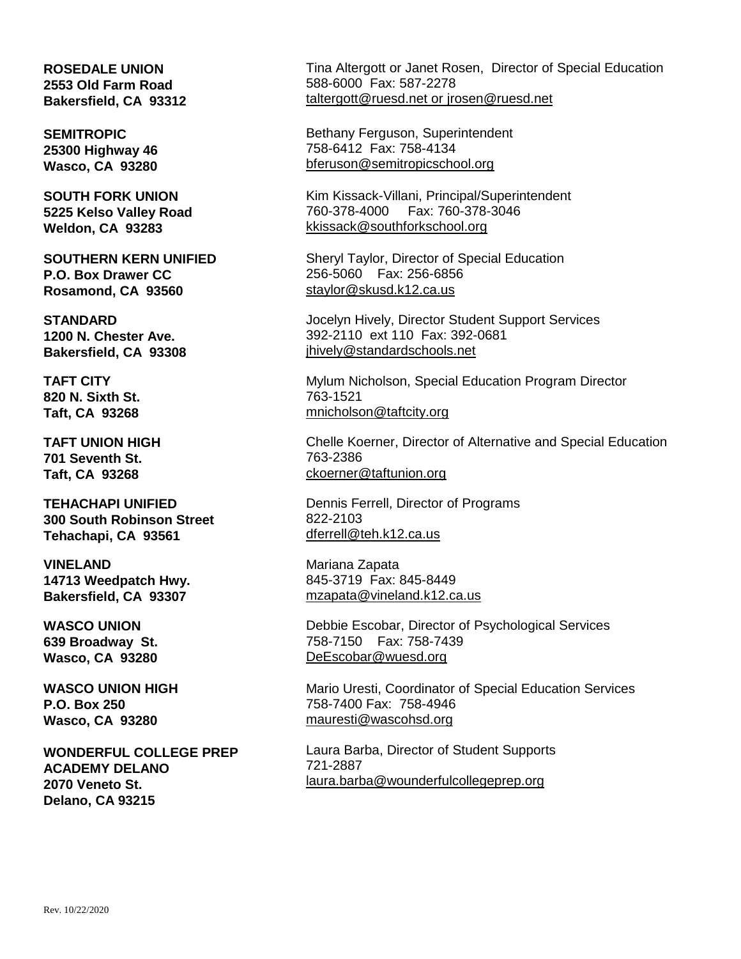### **ROSEDALE UNION 2553 Old Farm Road Bakersfield, CA 93312**

**SEMITROPIC 25300 Highway 46 Wasco, CA 93280**

**SOUTH FORK UNION 5225 Kelso Valley Road Weldon, CA 93283**

**SOUTHERN KERN UNIFIED P.O. Box Drawer CC Rosamond, CA 93560**

**STANDARD 1200 N. Chester Ave. Bakersfield, CA 93308**

**TAFT CITY 820 N. Sixth St. Taft, CA 93268** 

**TAFT UNION HIGH 701 Seventh St. Taft, CA 93268**

**TEHACHAPI UNIFIED 300 South Robinson Street Tehachapi, CA 93561**

**VINELAND 14713 Weedpatch Hwy. Bakersfield, CA 93307**

**WASCO UNION 639 Broadway St. Wasco, CA 93280**

**WASCO UNION HIGH P.O. Box 250 Wasco, CA 93280**

**WONDERFUL COLLEGE PREP ACADEMY DELANO 2070 Veneto St. Delano, CA 93215**

Tina Altergott or Janet Rosen, Director of Special Education 588-6000 Fax: 587-2278 [taltergott@ruesd.net](mailto:taltergott@ruesd.net) or jrosen@ruesd.net

Bethany Ferguson, Superintendent 758-6412 Fax: 758-4134 [bferuson@semitropicschool.org](mailto:bferuson@semitropicschool.org)

Kim Kissack-Villani, Principal/Superintendent 760-378-4000 Fax: 760-378-3046 [kkissack@southforkschool.org](mailto:kkissack@southforkschool.org)

Sheryl Taylor, Director of Special Education 256-5060 Fax: 256-6856 staylor@skusd.k12.ca.us

Jocelyn Hively, Director Student Support Services 392-2110 ext 110 Fax: 392-0681 jhively@standardschools.net

Mylum Nicholson, Special Education Program Director 763-1521 mnicholson@taftcity.org

Chelle Koerner, Director of Alternative and Special Education 763-2386 ckoerner@taftunion.org

Dennis Ferrell, Director of Programs 822-2103 [dferrell@teh.k12.ca.us](mailto:dferrell@teh.k12.ca.us)

Mariana Zapata 845-3719 Fax: 845-8449 [mzapata@vineland.k12.ca.us](mailto:mzapata@vineland.k12.ca.us)

Debbie Escobar, Director of Psychological Services 758-7150 Fax: 758-7439 [DeEscobar@wuesd.org](mailto:DeEscobar@wuesd.org)

Mario Uresti, Coordinator of Special Education Services 758-7400 Fax: 758-4946 mauresti@wascohsd.org

Laura Barba, Director of Student Supports 721-2887 [laura.barba@wounderfulcollegeprep.org](mailto:laura.barba@wounderfulcollegeprep.org)